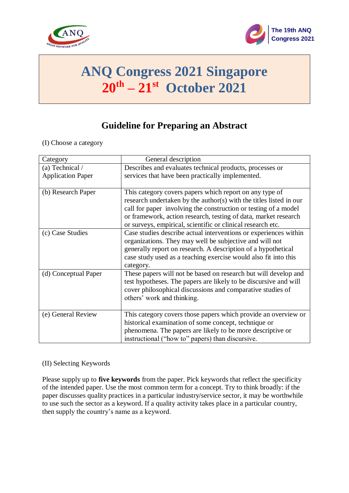



# **ANQ Congress 2021 Singapore 20th – 21 st October 2021**

## **Guideline for Preparing an Abstract**

#### (I) Choose a category

| Category                 | General description                                                |
|--------------------------|--------------------------------------------------------------------|
| (a) Technical /          | Describes and evaluates technical products, processes or           |
| <b>Application Paper</b> | services that have been practically implemented.                   |
|                          |                                                                    |
| (b) Research Paper       | This category covers papers which report on any type of            |
|                          | research undertaken by the author(s) with the titles listed in our |
|                          | call for paper involving the construction or testing of a model    |
|                          | or framework, action research, testing of data, market research    |
|                          | or surveys, empirical, scientific or clinical research etc.        |
| (c) Case Studies         | Case studies describe actual interventions or experiences within   |
|                          | organizations. They may well be subjective and will not            |
|                          | generally report on research. A description of a hypothetical      |
|                          | case study used as a teaching exercise would also fit into this    |
|                          | category.                                                          |
| (d) Conceptual Paper     | These papers will not be based on research but will develop and    |
|                          | test hypotheses. The papers are likely to be discursive and will   |
|                          | cover philosophical discussions and comparative studies of         |
|                          | others' work and thinking.                                         |
|                          |                                                                    |
| (e) General Review       | This category covers those papers which provide an overview or     |
|                          | historical examination of some concept, technique or               |
|                          | phenomena. The papers are likely to be more descriptive or         |
|                          | instructional ("how to" papers) than discursive.                   |

#### (II) Selecting Keywords

Please supply up to **five keywords** from the paper. Pick keywords that reflect the specificity of the intended paper. Use the most common term for a concept. Try to think broadly: if the paper discusses quality practices in a particular industry/service sector, it may be worthwhile to use such the sector as a keyword. If a quality activity takes place in a particular country, then supply the country's name as a keyword.